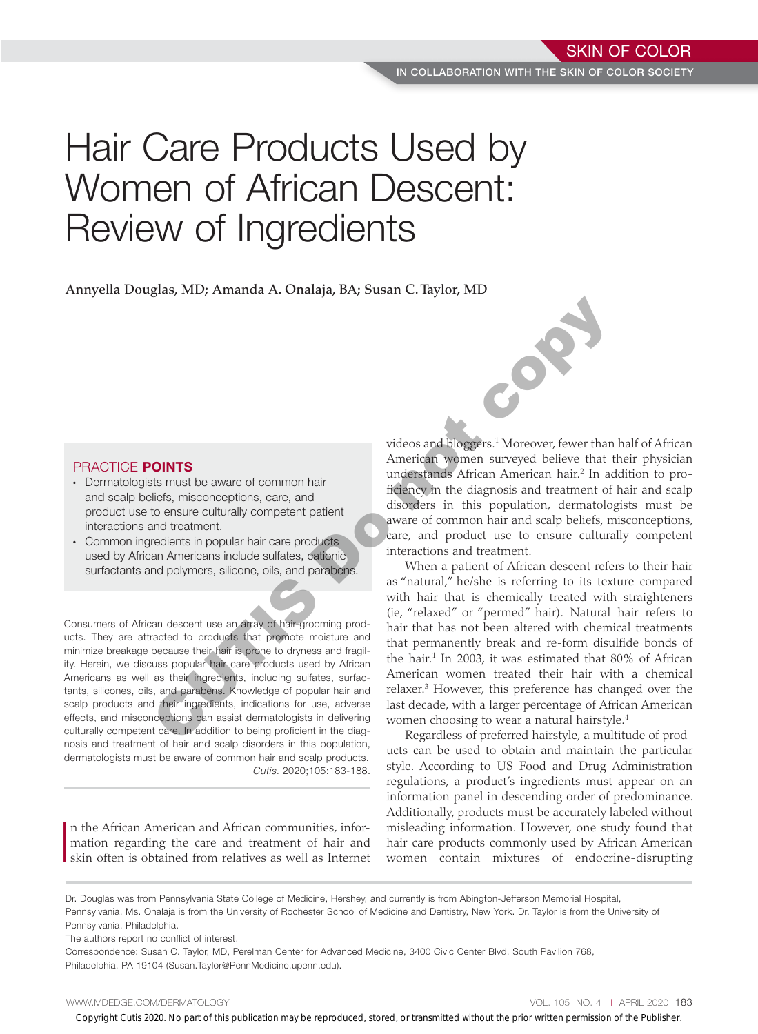# Hair Care Products Used by Women of African Descent: Review of Ingredients

Annyella Douglas, MD; Amanda A. Onalaja, BA; Susan C. Taylor, MD

## PRACTICE POINTS

- Dermatologists must be aware of common hair and scalp beliefs, misconceptions, care, and product use to ensure culturally competent patient interactions and treatment.
- Common ingredients in popular hair care products used by African Americans include sulfates, cationic surfactants and polymers, silicone, oils, and parabens.

Consumers of African descent use an array of hair-grooming products. They are attracted to products that promote moisture and minimize breakage because their hair is prone to dryness and fragility. Herein, we discuss popular hair care products used by African Americans as well as their ingredients, including sulfates, surfactants, silicones, oils, and parabens. Knowledge of popular hair and scalp products and their ingredients, indications for use, adverse effects, and misconceptions can assist dermatologists in delivering culturally competent care. In addition to being proficient in the diagnosis and treatment of hair and scalp disorders in this population, dermatologists must be aware of common hair and scalp products. *Cutis.* 2020;105:183-188.

I n the African American and African communities, information regarding the care and treatment of hair and skin often is obtained from relatives as well as Internet

videos and bloggers.<sup>1</sup> Moreover, fewer than half of African American women surveyed believe that their physician understands African American hair.<sup>2</sup> In addition to proficiency in the diagnosis and treatment of hair and scalp disorders in this population, dermatologists must be aware of common hair and scalp beliefs, misconceptions, care, and product use to ensure culturally competent interactions and treatment.

When a patient of African descent refers to their hair as "natural," he/she is referring to its texture compared with hair that is chemically treated with straighteners (ie, "relaxed" or "permed" hair). Natural hair refers to hair that has not been altered with chemical treatments that permanently break and re-form disulfide bonds of the hair.<sup>1</sup> In 2003, it was estimated that 80% of African American women treated their hair with a chemical relaxer.3 However, this preference has changed over the last decade, with a larger percentage of African American women choosing to wear a natural hairstyle.<sup>4</sup> **PRACTICE POINTS**<br>
Corporation and control in the control of the signature of the results of the control of the signature of the signature of the control of the signature of the signature of the control of the prior of th

Regardless of preferred hairstyle, a multitude of products can be used to obtain and maintain the particular style. According to US Food and Drug Administration regulations, a product's ingredients must appear on an information panel in descending order of predominance. Additionally, products must be accurately labeled without misleading information. However, one study found that hair care products commonly used by African American women contain mixtures of endocrine-disrupting

Dr. Douglas was from Pennsylvania State College of Medicine, Hershey, and currently is from Abington-Jefferson Memorial Hospital, Pennsylvania. Ms. Onalaja is from the University of Rochester School of Medicine and Dentistry, New York. Dr. Taylor is from the University of Pennsylvania, Philadelphia.

The authors report no conflict of interest.

Correspondence: Susan C. Taylor, MD, Perelman Center for Advanced Medicine, 3400 Civic Center Blvd, South Pavilion 768, Philadelphia, PA 19104 (Susan.Taylor@PennMedicine.upenn.edu).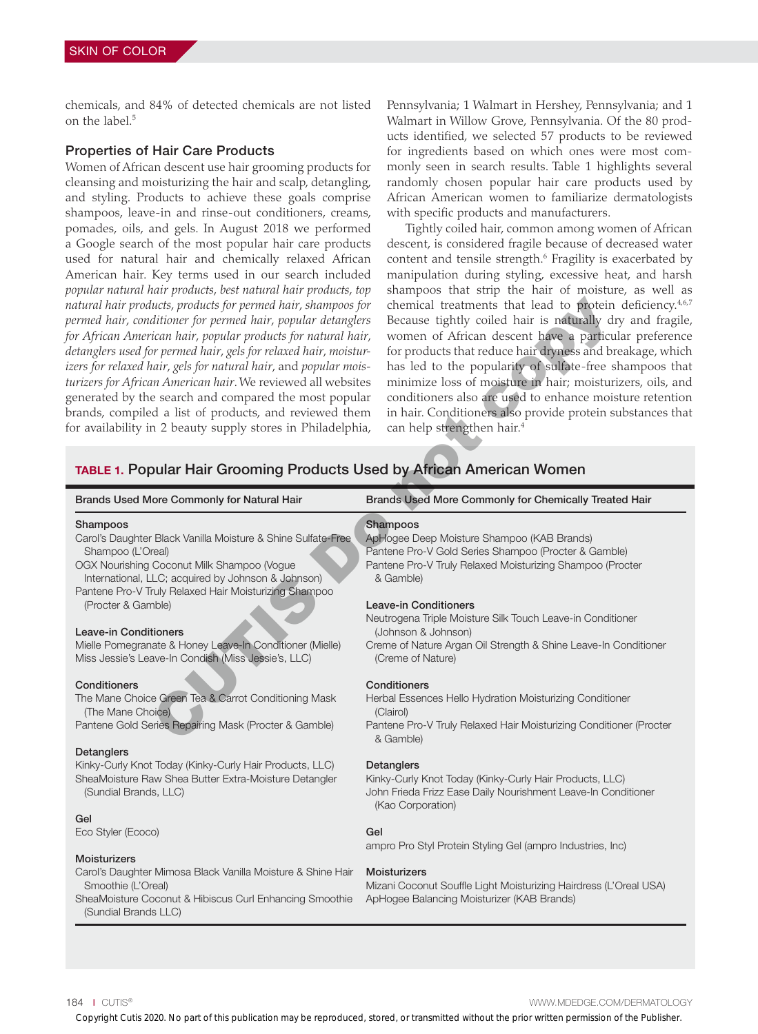chemicals, and 84% of detected chemicals are not listed on the label.<sup>5</sup>

### Properties of Hair Care Products

Women of African descent use hair grooming products for cleansing and moisturizing the hair and scalp, detangling, and styling. Products to achieve these goals comprise shampoos, leave-in and rinse-out conditioners, creams, pomades, oils, and gels. In August 2018 we performed a Google search of the most popular hair care products used for natural hair and chemically relaxed African American hair. Key terms used in our search included *popular natural hair products*, *best natural hair products*, *top natural hair products*, *products for permed hair*, *shampoos for permed hair*, *conditioner for permed hair*, *popular detanglers for African American hair*, *popular products for natural hair*, *detanglers used for permed hair*, *gels for relaxed hair*, *moisturizers for relaxed hair*, *gels for natural hair*, and *popular moisturizers for African American hair*. We reviewed all websites generated by the search and compared the most popular brands, compiled a list of products, and reviewed them for availability in 2 beauty supply stores in Philadelphia,

Pennsylvania; 1 Walmart in Hershey, Pennsylvania; and 1 Walmart in Willow Grove, Pennsylvania. Of the 80 products identified, we selected 57 products to be reviewed for ingredients based on which ones were most commonly seen in search results. Table 1 highlights several randomly chosen popular hair care products used by African American women to familiarize dermatologists with specific products and manufacturers.

Tightly coiled hair, common among women of African descent, is considered fragile because of decreased water content and tensile strength.<sup>6</sup> Fragility is exacerbated by manipulation during styling, excessive heat, and harsh shampoos that strip the hair of moisture, as well as chemical treatments that lead to protein deficiency.<sup>4,6,7</sup> Because tightly coiled hair is naturally dry and fragile, women of African descent have a particular preference for products that reduce hair dryness and breakage, which has led to the popularity of sulfate-free shampoos that minimize loss of moisture in hair; moisturizers, oils, and conditioners also are used to enhance moisture retention in hair. Conditioners also provide protein substances that can help strengthen hair.4

## TABLE 1. Popular Hair Grooming Products Used by African American Women

| atural hair products, products for permed hair, shampoos for<br>ermed hair, conditioner for permed hair, popular detanglers<br>or African American hair, popular products for natural hair,<br>etanglers used for permed hair, gels for relaxed hair, moistur-<br>ers for relaxed hair, gels for natural hair, and popular mois-<br>trizers for African American hair. We reviewed all websites<br>enerated by the search and compared the most popular<br>rands, compiled a list of products, and reviewed them<br>or availability in 2 beauty supply stores in Philadelphia,<br>TABLE 1. Popular Hair Grooming Products Used by African American Women | chemical treatments that lead to protein deficiency. <sup>4,6,7</sup><br>Because tightly coiled hair is naturally dry and fragile,<br>women of African descent have a particular preference<br>for products that reduce hair dryness and breakage, which<br>has led to the popularity of sulfate-free shampoos that<br>minimize loss of moisture in hair; moisturizers, oils, and<br>conditioners also are used to enhance moisture retention<br>in hair. Conditioners also provide protein substances that<br>can help strengthen hair. <sup>4</sup> |
|----------------------------------------------------------------------------------------------------------------------------------------------------------------------------------------------------------------------------------------------------------------------------------------------------------------------------------------------------------------------------------------------------------------------------------------------------------------------------------------------------------------------------------------------------------------------------------------------------------------------------------------------------------|-------------------------------------------------------------------------------------------------------------------------------------------------------------------------------------------------------------------------------------------------------------------------------------------------------------------------------------------------------------------------------------------------------------------------------------------------------------------------------------------------------------------------------------------------------|
| Brands Used More Commonly for Natural Hair                                                                                                                                                                                                                                                                                                                                                                                                                                                                                                                                                                                                               | Brands Used More Commonly for Chemically Treated Hair                                                                                                                                                                                                                                                                                                                                                                                                                                                                                                 |
| Shampoos<br>Carol's Daughter Black Vanilla Moisture & Shine Sulfate-Free<br>Shampoo (L'Oreal)<br>OGX Nourishing Coconut Milk Shampoo (Vogue<br>International, LLC; acquired by Johnson & Johnson)<br>Pantene Pro-V Truly Relaxed Hair Moisturizing Shampoo                                                                                                                                                                                                                                                                                                                                                                                               | Shampoos<br>ApHogee Deep Moisture Shampoo (KAB Brands)<br>Pantene Pro-V Gold Series Shampoo (Procter & Gamble)<br>Pantene Pro-V Truly Relaxed Moisturizing Shampoo (Procter<br>& Gamble)                                                                                                                                                                                                                                                                                                                                                              |
| (Procter & Gamble)                                                                                                                                                                                                                                                                                                                                                                                                                                                                                                                                                                                                                                       | <b>Leave-in Conditioners</b><br>Neutrogena Triple Moisture Silk Touch Leave-in Conditioner                                                                                                                                                                                                                                                                                                                                                                                                                                                            |
| <b>Leave-in Conditioners</b><br>Mielle Pomegranate & Honey Leave-In Conditioner (Mielle)<br>Miss Jessie's Leave-In Condish (Miss Jessie's, LLC)                                                                                                                                                                                                                                                                                                                                                                                                                                                                                                          | (Johnson & Johnson)<br>Creme of Nature Argan Oil Strength & Shine Leave-In Conditioner<br>(Creme of Nature)                                                                                                                                                                                                                                                                                                                                                                                                                                           |
| Conditioners<br>The Mane Choice Green Tea & Carrot Conditioning Mask<br>(The Mane Choice)<br>Pantene Gold Series Repairing Mask (Procter & Gamble)                                                                                                                                                                                                                                                                                                                                                                                                                                                                                                       | Conditioners<br>Herbal Essences Hello Hydration Moisturizing Conditioner<br>(Clairol)<br>Pantene Pro-V Truly Relaxed Hair Moisturizing Conditioner (Procter<br>& Gamble)                                                                                                                                                                                                                                                                                                                                                                              |
| Detanglers<br>Kinky-Curly Knot Today (Kinky-Curly Hair Products, LLC)<br>SheaMoisture Raw Shea Butter Extra-Moisture Detangler<br>(Sundial Brands, LLC)                                                                                                                                                                                                                                                                                                                                                                                                                                                                                                  | Detanglers<br>Kinky-Curly Knot Today (Kinky-Curly Hair Products, LLC)<br>John Frieda Frizz Ease Daily Nourishment Leave-In Conditioner<br>(Kao Corporation)                                                                                                                                                                                                                                                                                                                                                                                           |
| Gel<br>Eco Styler (Ecoco)                                                                                                                                                                                                                                                                                                                                                                                                                                                                                                                                                                                                                                | Gel<br>ampro Pro Styl Protein Styling Gel (ampro Industries, Inc)                                                                                                                                                                                                                                                                                                                                                                                                                                                                                     |
| <b>Moisturizers</b><br>Carol's Daughter Mimosa Black Vanilla Moisture & Shine Hair<br>Smoothie (L'Oreal)<br>SheaMoisture Coconut & Hibiscus Curl Enhancing Smoothie  ApHogee Balancing Moisturizer (KAB Brands)<br>(Sundial Brands LLC)                                                                                                                                                                                                                                                                                                                                                                                                                  | <b>Moisturizers</b><br>Mizani Coconut Souffle Light Moisturizing Hairdress (L'Oreal USA)                                                                                                                                                                                                                                                                                                                                                                                                                                                              |
| 84   CUTIS®                                                                                                                                                                                                                                                                                                                                                                                                                                                                                                                                                                                                                                              | WWW.MDEDGE.COM/DERMATOLOGY<br>Copyright Cutis 2020. No part of this publication may be reproduced, stored, or transmitted without the prior written permission of the Publisher.                                                                                                                                                                                                                                                                                                                                                                      |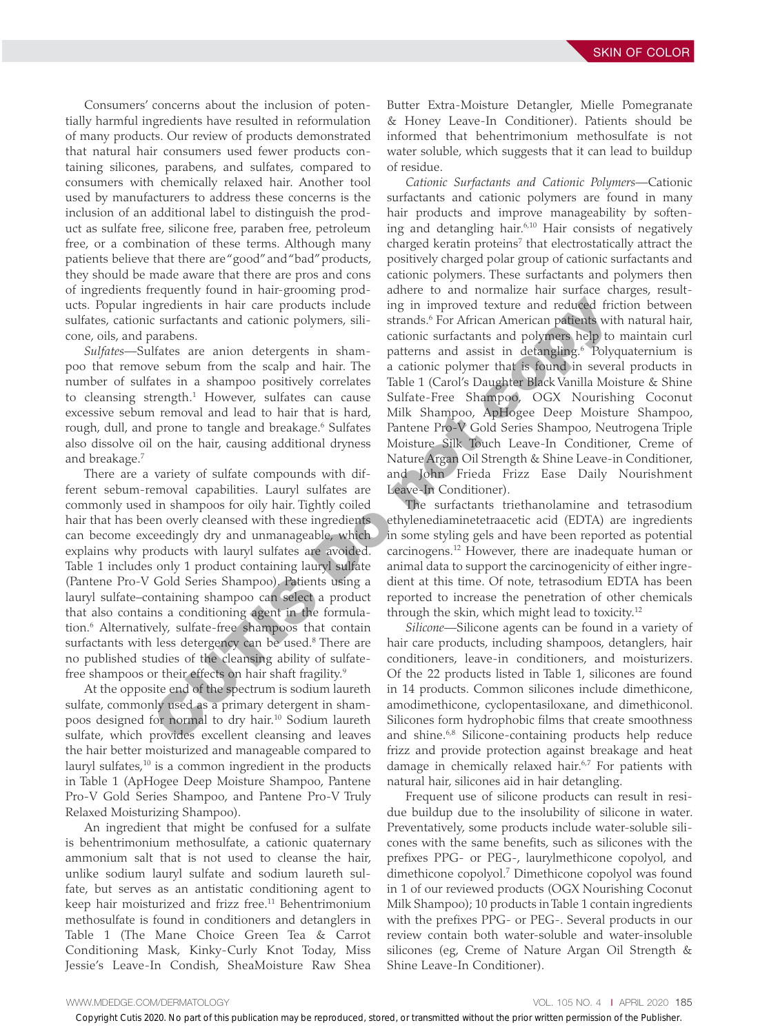Consumers' concerns about the inclusion of potentially harmful ingredients have resulted in reformulation of many products. Our review of products demonstrated that natural hair consumers used fewer products containing silicones, parabens, and sulfates, compared to consumers with chemically relaxed hair. Another tool used by manufacturers to address these concerns is the inclusion of an additional label to distinguish the product as sulfate free, silicone free, paraben free, petroleum free, or a combination of these terms. Although many patients believe that there are "good" and "bad" products, they should be made aware that there are pros and cons of ingredients frequently found in hair-grooming products. Popular ingredients in hair care products include sulfates, cationic surfactants and cationic polymers, silicone, oils, and parabens.

*Sulfates—*Sulfates are anion detergents in shampoo that remove sebum from the scalp and hair. The number of sulfates in a shampoo positively correlates to cleansing strength.<sup>1</sup> However, sulfates can cause excessive sebum removal and lead to hair that is hard, rough, dull, and prone to tangle and breakage.<sup>6</sup> Sulfates also dissolve oil on the hair, causing additional dryness and breakage.7

There are a variety of sulfate compounds with different sebum-removal capabilities. Lauryl sulfates are commonly used in shampoos for oily hair. Tightly coiled hair that has been overly cleansed with these ingredients can become exceedingly dry and unmanageable, which explains why products with lauryl sulfates are avoided. Table 1 includes only 1 product containing lauryl sulfate (Pantene Pro-V Gold Series Shampoo). Patients using a lauryl sulfate–containing shampoo can select a product that also contains a conditioning agent in the formulation.6 Alternatively, sulfate-free shampoos that contain surfactants with less detergency can be used.<sup>8</sup> There are no published studies of the cleansing ability of sulfatefree shampoos or their effects on hair shaft fragility.<sup>9</sup> In Using the publication of the two particles in the prior written may be reproduced by the reproduced by a main of the publical contains and polytoms (and particles with cuties 2020 and the publical cuties and polytoms (

At the opposite end of the spectrum is sodium laureth sulfate, commonly used as a primary detergent in shampoos designed for normal to dry hair.10 Sodium laureth sulfate, which provides excellent cleansing and leaves the hair better moisturized and manageable compared to lauryl sulfates,<sup>10</sup> is a common ingredient in the products in Table 1 (ApHogee Deep Moisture Shampoo, Pantene Pro-V Gold Series Shampoo, and Pantene Pro-V Truly Relaxed Moisturizing Shampoo).

An ingredient that might be confused for a sulfate is behentrimonium methosulfate, a cationic quaternary ammonium salt that is not used to cleanse the hair, unlike sodium lauryl sulfate and sodium laureth sulfate, but serves as an antistatic conditioning agent to keep hair moisturized and frizz free.<sup>11</sup> Behentrimonium methosulfate is found in conditioners and detanglers in Table 1 (The Mane Choice Green Tea & Carrot Conditioning Mask, Kinky-Curly Knot Today, Miss Jessie's Leave-In Condish, SheaMoisture Raw Shea

Butter Extra-Moisture Detangler, Mielle Pomegranate & Honey Leave-In Conditioner). Patients should be informed that behentrimonium methosulfate is not water soluble, which suggests that it can lead to buildup of residue.

*Cationic Surfactants and Cationic Polymers—*Cationic surfactants and cationic polymers are found in many hair products and improve manageability by softening and detangling hair.<sup>6,10</sup> Hair consists of negatively charged keratin proteins<sup>7</sup> that electrostatically attract the positively charged polar group of cationic surfactants and cationic polymers. These surfactants and polymers then adhere to and normalize hair surface charges, resulting in improved texture and reduced friction between strands.<sup>6</sup> For African American patients with natural hair, cationic surfactants and polymers help to maintain curl patterns and assist in detangling.<sup>6</sup> Polyquaternium is a cationic polymer that is found in several products in Table 1 (Carol's Daughter Black Vanilla Moisture & Shine Sulfate-Free Shampoo, OGX Nourishing Coconut Milk Shampoo, ApHogee Deep Moisture Shampoo, Pantene Pro-V Gold Series Shampoo, Neutrogena Triple Moisture Silk Touch Leave-In Conditioner, Creme of Nature Argan Oil Strength & Shine Leave-in Conditioner, and John Frieda Frizz Ease Daily Nourishment Leave-In Conditioner).

The surfactants triethanolamine and tetrasodium ethylenediaminetetraacetic acid (EDTA) are ingredients in some styling gels and have been reported as potential carcinogens.12 However, there are inadequate human or animal data to support the carcinogenicity of either ingredient at this time. Of note, tetrasodium EDTA has been reported to increase the penetration of other chemicals through the skin, which might lead to toxicity.12

*Silicone—*Silicone agents can be found in a variety of hair care products, including shampoos, detanglers, hair conditioners, leave-in conditioners, and moisturizers. Of the 22 products listed in Table 1, silicones are found in 14 products. Common silicones include dimethicone, amodimethicone, cyclopentasiloxane, and dimethiconol. Silicones form hydrophobic films that create smoothness and shine.<sup>6,8</sup> Silicone-containing products help reduce frizz and provide protection against breakage and heat damage in chemically relaxed hair.<sup>6,7</sup> For patients with natural hair, silicones aid in hair detangling.

Frequent use of silicone products can result in residue buildup due to the insolubility of silicone in water. Preventatively, some products include water-soluble silicones with the same benefits, such as silicones with the prefixes PPG- or PEG-, laurylmethicone copolyol, and dimethicone copolyol.7 Dimethicone copolyol was found in 1 of our reviewed products (OGX Nourishing Coconut Milk Shampoo); 10 products in Table 1 contain ingredients with the prefixes PPG- or PEG-. Several products in our review contain both water-soluble and water-insoluble silicones (eg, Creme of Nature Argan Oil Strength & Shine Leave-In Conditioner).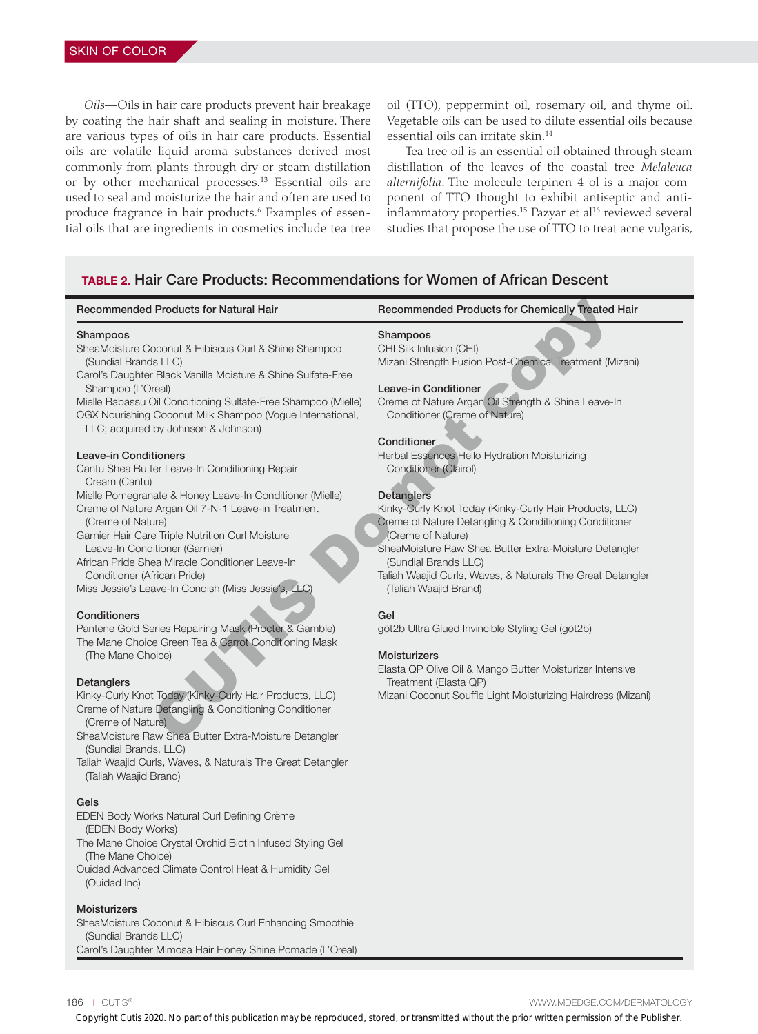*Oils—*Oils in hair care products prevent hair breakage by coating the hair shaft and sealing in moisture. There are various types of oils in hair care products. Essential oils are volatile liquid-aroma substances derived most commonly from plants through dry or steam distillation or by other mechanical processes.<sup>13</sup> Essential oils are used to seal and moisturize the hair and often are used to produce fragrance in hair products.<sup>6</sup> Examples of essential oils that are ingredients in cosmetics include tea tree oil (TTO), peppermint oil, rosemary oil, and thyme oil. Vegetable oils can be used to dilute essential oils because essential oils can irritate skin.14

Tea tree oil is an essential oil obtained through steam distillation of the leaves of the coastal tree *Melaleuca alternifolia*. The molecule terpinen-4-ol is a major component of TTO thought to exhibit antiseptic and antiinflammatory properties.<sup>15</sup> Pazyar et al<sup>16</sup> reviewed several studies that propose the use of TTO to treat acne vulgaris,

## TABLE 2. Hair Care Products: Recommendations for Women of African Descent

| <b>Recommended Products for Natural Hair</b>                                                                                                                                                                                                                                                                                                                                                                                                                                                                                                                                                                                                                                                                                                                                                                                                                                                                                                                                                                                                                                                                                                                                                                                                                                                                                                                                                                                                                                                                                                                                  | Recommended Products for Chemically Treated Hair                                                                                                                                                                                                                                                                                                                                                                                                                                                                                                                                                                                                                                                                                                                                                                                                                      |
|-------------------------------------------------------------------------------------------------------------------------------------------------------------------------------------------------------------------------------------------------------------------------------------------------------------------------------------------------------------------------------------------------------------------------------------------------------------------------------------------------------------------------------------------------------------------------------------------------------------------------------------------------------------------------------------------------------------------------------------------------------------------------------------------------------------------------------------------------------------------------------------------------------------------------------------------------------------------------------------------------------------------------------------------------------------------------------------------------------------------------------------------------------------------------------------------------------------------------------------------------------------------------------------------------------------------------------------------------------------------------------------------------------------------------------------------------------------------------------------------------------------------------------------------------------------------------------|-----------------------------------------------------------------------------------------------------------------------------------------------------------------------------------------------------------------------------------------------------------------------------------------------------------------------------------------------------------------------------------------------------------------------------------------------------------------------------------------------------------------------------------------------------------------------------------------------------------------------------------------------------------------------------------------------------------------------------------------------------------------------------------------------------------------------------------------------------------------------|
| Shampoos<br>SheaMoisture Coconut & Hibiscus Curl & Shine Shampoo<br>(Sundial Brands LLC)<br>Carol's Daughter Black Vanilla Moisture & Shine Sulfate-Free<br>Shampoo (L'Oreal)<br>Mielle Babassu Oil Conditioning Sulfate-Free Shampoo (Mielle)<br>OGX Nourishing Coconut Milk Shampoo (Vogue International,<br>LLC; acquired by Johnson & Johnson)<br><b>Leave-in Conditioners</b><br>Cantu Shea Butter Leave-In Conditioning Repair<br>Cream (Cantu)<br>Mielle Pomegranate & Honey Leave-In Conditioner (Mielle)<br>Creme of Nature Argan Oil 7-N-1 Leave-in Treatment<br>(Creme of Nature)<br>Garnier Hair Care Triple Nutrition Curl Moisture<br>Leave-In Conditioner (Garnier)<br>African Pride Shea Miracle Conditioner Leave-In<br>Conditioner (African Pride)<br>Miss Jessie's Leave-In Condish (Miss Jessie's, LLC)<br>Conditioners<br>Pantene Gold Series Repairing Mask (Procter & Gamble)<br>The Mane Choice Green Tea & Carrot Conditioning Mask<br>(The Mane Choice)<br><b>Detanglers</b><br>Kinky-Curly Knot Today (Kinky-Curly Hair Products, LLC)<br>Creme of Nature Detangling & Conditioning Conditioner<br>(Creme of Nature)<br>SheaMoisture Raw Shea Butter Extra-Moisture Detangler<br>(Sundial Brands, LLC)<br>Taliah Waajid Curls, Waves, & Naturals The Great Detangler<br>(Taliah Waajid Brand)<br>Gels<br>EDEN Body Works Natural Curl Defining Crème<br>(EDEN Body Works)<br>The Mane Choice Crystal Orchid Biotin Infused Styling Gel<br>(The Mane Choice)<br>Ouidad Advanced Climate Control Heat & Humidity Gel<br>(Ouidad Inc)<br>Moisturizers | Shampoos<br>CHI Silk Infusion (CHI)<br>Mizani Strength Fusion Post-Chemical Treatment (Mizani)<br>Leave-in Conditioner<br>Creme of Nature Argan Oil Strength & Shine Leave-In<br>Conditioner (Creme of Nature)<br>Conditioner<br>Herbal Essences Hello Hydration Moisturizing<br>Conditioner (Clairol)<br>Detanglers<br>Kinky-Curly Knot Today (Kinky-Curly Hair Products, LLC)<br>Creme of Nature Detangling & Conditioning Conditioner<br>(Creme of Nature)<br>SheaMoisture Raw Shea Butter Extra-Moisture Detangler<br>(Sundial Brands LLC)<br>Taliah Waajid Curls, Waves, & Naturals The Great Detangler<br>(Taliah Waajid Brand)<br>Gel<br>göt2b Ultra Glued Invincible Styling Gel (göt2b)<br>Moisturizers<br>Elasta QP Olive Oil & Mango Butter Moisturizer Intensive<br>Treatment (Elasta QP)<br>Mizani Coconut Souffle Light Moisturizing Hairdress (Mizani) |
| SheaMoisture Coconut & Hibiscus Curl Enhancing Smoothie<br>(Sundial Brands LLC)<br>Carol's Daughter Mimosa Hair Honey Shine Pomade (L'Oreal)                                                                                                                                                                                                                                                                                                                                                                                                                                                                                                                                                                                                                                                                                                                                                                                                                                                                                                                                                                                                                                                                                                                                                                                                                                                                                                                                                                                                                                  |                                                                                                                                                                                                                                                                                                                                                                                                                                                                                                                                                                                                                                                                                                                                                                                                                                                                       |
| 86   CUTIS <sup>®</sup>                                                                                                                                                                                                                                                                                                                                                                                                                                                                                                                                                                                                                                                                                                                                                                                                                                                                                                                                                                                                                                                                                                                                                                                                                                                                                                                                                                                                                                                                                                                                                       | WWW.MDEDGE.COM/DERMATOLOGY<br>Copyright Cutis 2020. No part of this publication may be reproduced, stored, or transmitted without the prior written permission of the Publisher.                                                                                                                                                                                                                                                                                                                                                                                                                                                                                                                                                                                                                                                                                      |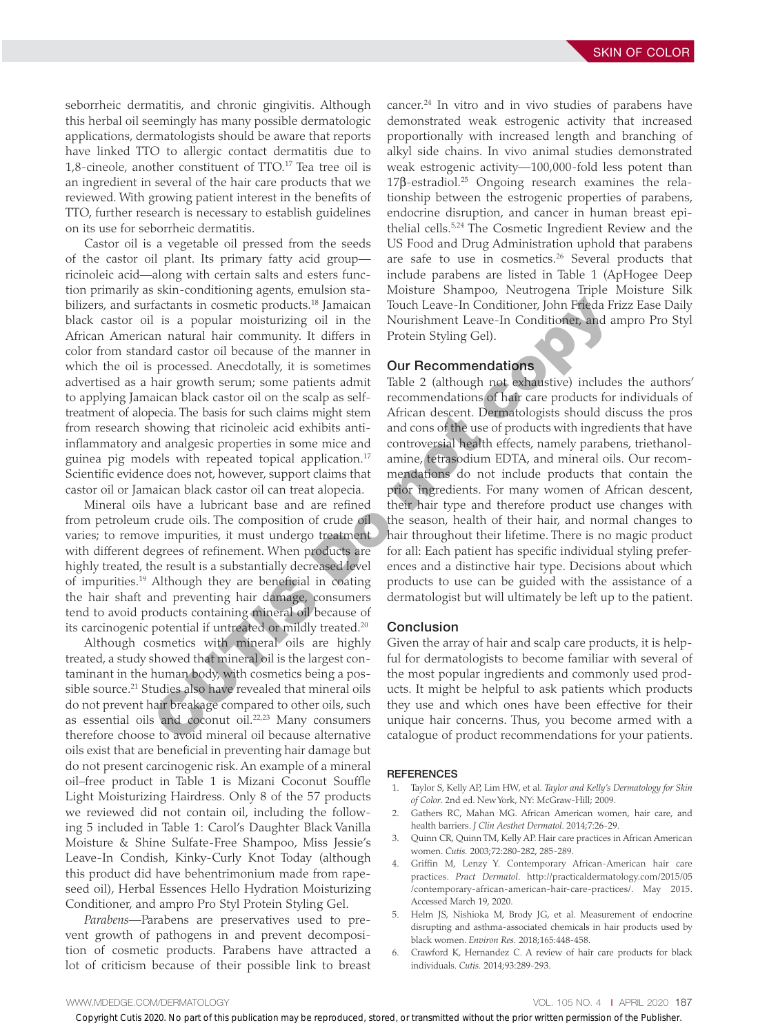seborrheic dermatitis, and chronic gingivitis. Although this herbal oil seemingly has many possible dermatologic applications, dermatologists should be aware that reports have linked TTO to allergic contact dermatitis due to 1,8-cineole, another constituent of TTO.17 Tea tree oil is an ingredient in several of the hair care products that we reviewed. With growing patient interest in the benefits of TTO, further research is necessary to establish guidelines on its use for seborrheic dermatitis.

Castor oil is a vegetable oil pressed from the seeds of the castor oil plant. Its primary fatty acid group ricinoleic acid—along with certain salts and esters function primarily as skin-conditioning agents, emulsion stabilizers, and surfactants in cosmetic products.<sup>18</sup> Jamaican black castor oil is a popular moisturizing oil in the African American natural hair community. It differs in color from standard castor oil because of the manner in which the oil is processed. Anecdotally, it is sometimes advertised as a hair growth serum; some patients admit to applying Jamaican black castor oil on the scalp as selftreatment of alopecia. The basis for such claims might stem from research showing that ricinoleic acid exhibits antiinflammatory and analgesic properties in some mice and guinea pig models with repeated topical application.<sup>17</sup> Scientific evidence does not, however, support claims that castor oil or Jamaican black castor oil can treat alopecia.

Mineral oils have a lubricant base and are refined from petroleum crude oils. The composition of crude oil varies; to remove impurities, it must undergo treatment with different degrees of refinement. When products are highly treated, the result is a substantially decreased level of impurities.19 Although they are beneficial in coating the hair shaft and preventing hair damage, consumers tend to avoid products containing mineral oil because of its carcinogenic potential if untreated or mildly treated.20

Although cosmetics with mineral oils are highly treated, a study showed that mineral oil is the largest contaminant in the human body, with cosmetics being a possible source.<sup>21</sup> Studies also have revealed that mineral oils do not prevent hair breakage compared to other oils, such as essential oils and coconut oil.22,23 Many consumers therefore choose to avoid mineral oil because alternative oils exist that are beneficial in preventing hair damage but do not present carcinogenic risk. An example of a mineral oil–free product in Table 1 is Mizani Coconut Souffle Light Moisturizing Hairdress. Only 8 of the 57 products we reviewed did not contain oil, including the following 5 included in Table 1: Carol's Daughter Black Vanilla Moisture & Shine Sulfate-Free Shampoo, Miss Jessie's Leave-In Condish, Kinky-Curly Knot Today (although this product did have behentrimonium made from rapeseed oil), Herbal Essences Hello Hydration Moisturizing Conditioner, and ampro Pro Styl Protein Styling Gel. Even met transmitted in the constraint of the cuttomic linear term is completely include that constrain that constrain the constraints of the Publish Cutis 2020. No part of the prior written in the prior written in the pr

*Parabens—*Parabens are preservatives used to prevent growth of pathogens in and prevent decomposition of cosmetic products. Parabens have attracted a lot of criticism because of their possible link to breast cancer.24 In vitro and in vivo studies of parabens have demonstrated weak estrogenic activity that increased proportionally with increased length and branching of alkyl side chains. In vivo animal studies demonstrated weak estrogenic activity—100,000-fold less potent than 17β-estradiol.<sup>25</sup> Ongoing research examines the relationship between the estrogenic properties of parabens, endocrine disruption, and cancer in human breast epithelial cells.5,24 The Cosmetic Ingredient Review and the US Food and Drug Administration uphold that parabens are safe to use in cosmetics.26 Several products that include parabens are listed in Table 1 (ApHogee Deep Moisture Shampoo, Neutrogena Triple Moisture Silk Touch Leave-In Conditioner, John Frieda Frizz Ease Daily Nourishment Leave-In Conditioner, and ampro Pro Styl Protein Styling Gel).

## Our Recommendations

Table 2 (although not exhaustive) includes the authors' recommendations of hair care products for individuals of African descent. Dermatologists should discuss the pros and cons of the use of products with ingredients that have controversial health effects, namely parabens, triethanolamine, tetrasodium EDTA, and mineral oils. Our recommendations do not include products that contain the prior ingredients. For many women of African descent, their hair type and therefore product use changes with the season, health of their hair, and normal changes to hair throughout their lifetime. There is no magic product for all: Each patient has specific individual styling preferences and a distinctive hair type. Decisions about which products to use can be guided with the assistance of a dermatologist but will ultimately be left up to the patient.

#### Conclusion

Given the array of hair and scalp care products, it is helpful for dermatologists to become familiar with several of the most popular ingredients and commonly used products. It might be helpful to ask patients which products they use and which ones have been effective for their unique hair concerns. Thus, you become armed with a catalogue of product recommendations for your patients.

#### REFERENCES

- 1. Taylor S, Kelly AP, Lim HW, et al. *Taylor and Kelly's Dermatology for Skin of Color*. 2nd ed. New York, NY: McGraw-Hill; 2009.
- 2. Gathers RC, Mahan MG. African American women, hair care, and health barriers. *J Clin Aesthet Dermatol*. 2014;7:26-29.
- 3. Quinn CR, Quinn TM, Kelly AP. Hair care practices in African American women. *Cutis.* 2003;72:280-282, 285-289.
- 4. Griffin M, Lenzy Y. Contemporary African-American hair care practices. *Pract Dermatol*. http://practicaldermatology.com/2015/05 /contemporary-african-american-hair-care-practices/. May 2015. Accessed March 19, 2020.
- 5. Helm JS, Nishioka M, Brody JG, et al. Measurement of endocrine disrupting and asthma-associated chemicals in hair products used by black women. *Environ Res.* 2018;165:448-458.
- 6. Crawford K, Hernandez C. A review of hair care products for black individuals. *Cutis.* 2014;93:289-293.